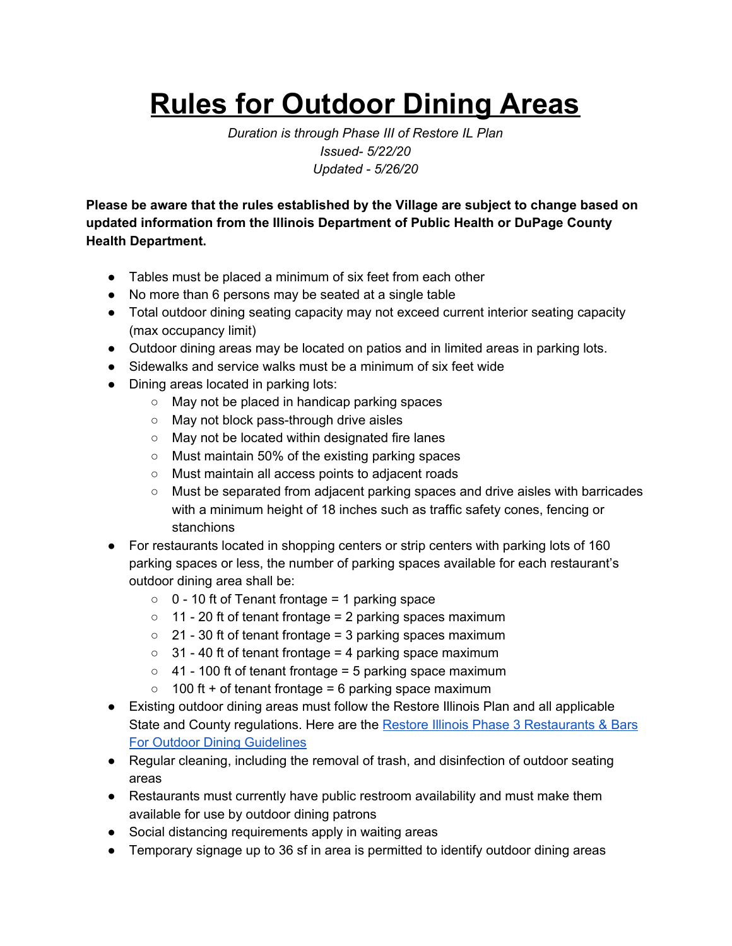## **Rules for Outdoor Dining Areas**

*Duration is through Phase III of Restore IL Plan Issued- 5/22/20 Updated - 5/26/20*

**Please be aware that the rules established by the Village are subject to change based on updated information from the Illinois Department of Public Health or DuPage County Health Department.**

- Tables must be placed a minimum of six feet from each other
- No more than 6 persons may be seated at a single table
- Total outdoor dining seating capacity may not exceed current interior seating capacity (max occupancy limit)
- Outdoor dining areas may be located on patios and in limited areas in parking lots.
- Sidewalks and service walks must be a minimum of six feet wide
- Dining areas located in parking lots:
	- May not be placed in handicap parking spaces
	- May not block pass-through drive aisles
	- May not be located within designated fire lanes
	- Must maintain 50% of the existing parking spaces
	- Must maintain all access points to adjacent roads
	- Must be separated from adjacent parking spaces and drive aisles with barricades with a minimum height of 18 inches such as traffic safety cones, fencing or stanchions
- For restaurants located in shopping centers or strip centers with parking lots of 160 parking spaces or less, the number of parking spaces available for each restaurant's outdoor dining area shall be:
	- $\circ$  0 10 ft of Tenant frontage = 1 parking space
	- 11 20 ft of tenant frontage = 2 parking spaces maximum
	- $\circ$  21 30 ft of tenant frontage = 3 parking spaces maximum
	- $\circ$  31 40 ft of tenant frontage = 4 parking space maximum
	- 41 100 ft of tenant frontage = 5 parking space maximum
	- $\circ$  100 ft + of tenant frontage = 6 parking space maximum
- Existing outdoor dining areas must follow the Restore Illinois Plan and all applicable State and County regulations. Here are the Restore Illinois Phase 3 [Restaurants](https://dceocovid19resources.com/assets/Restore-Illinois/businessguidelines3/restaurantbars.pdf) & Bars For Outdoor Dining [Guidelines](https://dceocovid19resources.com/assets/Restore-Illinois/businessguidelines3/restaurantbars.pdf)
- Regular cleaning, including the removal of trash, and disinfection of outdoor seating areas
- Restaurants must currently have public restroom availability and must make them available for use by outdoor dining patrons
- Social distancing requirements apply in waiting areas
- Temporary signage up to 36 sf in area is permitted to identify outdoor dining areas